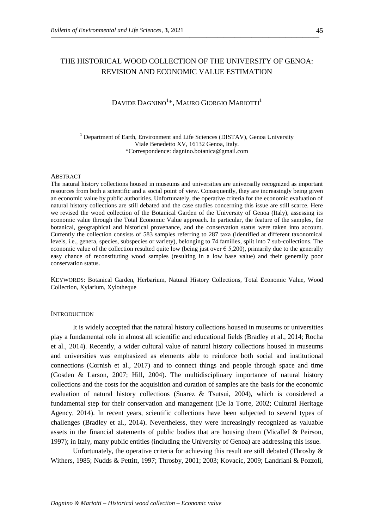# THE HISTORICAL WOOD COLLECTION OF THE UNIVERSITY OF GENOA: REVISION AND ECONOMIC VALUE ESTIMATION

 $-$ 

# DAVIDE DAGNINO<sup>1</sup>\*, MAURO GIORGIO MARIOTTI<sup>1</sup>

<sup>1</sup> Department of Earth, Environment and Life Sciences (DISTAV), Genoa University Viale Benedetto XV, 16132 Genoa, Italy. \*Correspondence: dagnino.botanica@gmail.com

### ABSTRACT

The natural history collections housed in museums and universities are universally recognized as important resources from both a scientific and a social point of view. Consequently, they are increasingly being given an economic value by public authorities. Unfortunately, the operative criteria for the economic evaluation of natural history collections are still debated and the case studies concerning this issue are still scarce. Here we revised the wood collection of the Botanical Garden of the University of Genoa (Italy), assessing its economic value through the Total Economic Value approach. In particular, the feature of the samples, the botanical, geographical and historical provenance, and the conservation status were taken into account. Currently the collection consists of 583 samples referring to 287 taxa (identified at different taxonomical levels, i.e., genera, species, subspecies or variety), belonging to 74 families, split into 7 sub-collections. The economic value of the collection resulted quite low (being just over  $\epsilon$  5,200), primarily due to the generally easy chance of reconstituting wood samples (resulting in a low base value) and their generally poor conservation status.

KEYWORDS: Botanical Garden, Herbarium, Natural History Collections, Total Economic Value, Wood Collection, Xylarium, Xylotheque

## **INTRODUCTION**

It is widely accepted that the natural history collections housed in museums or universities play a fundamental role in almost all scientific and educational fields (Bradley et al., 2014; Rocha et al., 2014). Recently, a wider cultural value of natural history collections housed in museums and universities was emphasized as elements able to reinforce both social and institutional connections (Cornish et al., 2017) and to connect things and people through space and time (Gosden & Larson, 2007; Hill, 2004). The multidisciplinary importance of natural history collections and the costs for the acquisition and curation of samples are the basis for the economic evaluation of natural history collections (Suarez & Tsutsui, 2004), which is considered a fundamental step for their conservation and management (De la Torre, 2002; Cultural Heritage Agency, 2014). In recent years, scientific collections have been subjected to several types of challenges (Bradley et al., 2014). Nevertheless, they were increasingly recognized as valuable assets in the financial statements of public bodies that are housing them (Micallef & Peirson, 1997); in Italy, many public entities (including the University of Genoa) are addressing this issue.

Unfortunately, the operative criteria for achieving this result are still debated (Throsby  $\&$ Withers, 1985; Nudds & Pettitt, 1997; Throsby, 2001; 2003; Kovacic, 2009; Landriani & Pozzoli,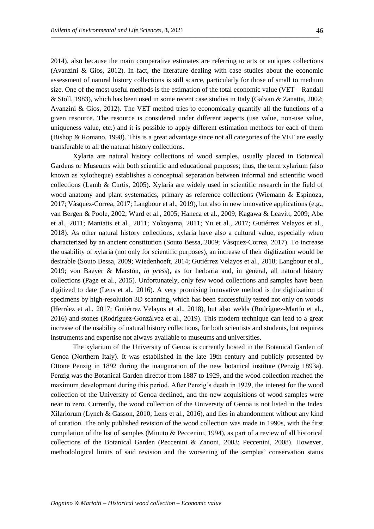2014), also because the main comparative estimates are referring to arts or antiques collections (Avanzini & Gios, 2012). In fact, the literature dealing with case studies about the economic assessment of natural history collections is still scarce, particularly for those of small to medium size. One of the most useful methods is the estimation of the total economic value (VET – Randall & Stoll, 1983), which has been used in some recent case studies in Italy (Galvan & Zanatta, 2002; Avanzini & Gios, 2012). The VET method tries to economically quantify all the functions of a given resource. The resource is considered under different aspects (use value, non-use value, uniqueness value, etc.) and it is possible to apply different estimation methods for each of them (Bishop & Romano, 1998). This is a great advantage since not all categories of the VET are easily transferable to all the natural history collections.

 $-$ 

Xylaria are natural history collections of wood samples, usually placed in Botanical Gardens or Museums with both scientific and educational purposes; thus, the term xylarium (also known as xylotheque) establishes a conceptual separation between informal and scientific wood collections (Lamb & Curtis, 2005). Xylaria are widely used in scientific research in the field of wood anatomy and plant systematics, primary as reference collections (Wiemann & Espinoza, 2017; Vàsquez-Correa, 2017; Langbour et al., 2019), but also in new innovative applications (e.g., van Bergen & Poole, 2002; Ward et al., 2005; Haneca et al., 2009; Kagawa & Leavitt, 2009; Abe et al., 2011; Maniatis et al., 2011; Yokoyama, 2011; Yu et al., 2017; Gutiérrez Velayos et al., 2018). As other natural history collections, xylaria have also a cultural value, especially when characterized by an ancient constitution (Souto Bessa, 2009; Vàsquez-Correa, 2017). To increase the usability of xylaria (not only for scientific purposes), an increase of their digitization would be desirable (Souto Bessa, 2009; Wiedenhoeft, 2014; Gutiérrez Velayos et al., 2018; Langbour et al., 2019; von Baeyer & Marston, *in press*), as for herbaria and, in general, all natural history collections (Page et al., 2015). Unfortunately, only few wood collections and samples have been digitized to date (Lens et al., 2016). A very promising innovative method is the digitization of specimens by high-resolution 3D scanning, which has been successfully tested not only on woods (Herráez et al., 2017; Gutiérrez Velayos et al., 2018), but also welds (Rodríguez-Martín et al., 2016) and stones (Rodríguez-Gonzálvez et al., 2019). This modern technique can lead to a great increase of the usability of natural history collections, for both scientists and students, but requires instruments and expertise not always available to museums and universities.

The xylarium of the University of Genoa is currently hosted in the Botanical Garden of Genoa (Northern Italy). It was established in the late 19th century and publicly presented by Ottone Penzig in 1892 during the inauguration of the new botanical institute (Penzig 1893a). Penzig was the Botanical Garden director from 1887 to 1929, and the wood collection reached the maximum development during this period. After Penzig's death in 1929, the interest for the wood collection of the University of Genoa declined, and the new acquisitions of wood samples were near to zero. Currently, the wood collection of the University of Genoa is not listed in the Index Xilariorum (Lynch & Gasson, 2010; Lens et al., 2016), and lies in abandonment without any kind of curation. The only published revision of the wood collection was made in 1990s, with the first compilation of the list of samples (Minuto  $\&$  Peccenini, 1994), as part of a review of all historical collections of the Botanical Garden (Peccenini & Zanoni, 2003; Peccenini, 2008). However, methodological limits of said revision and the worsening of the samples' conservation status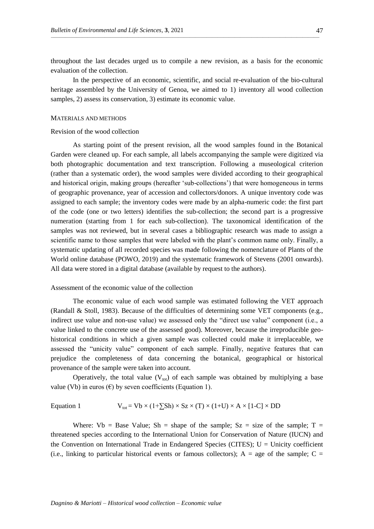throughout the last decades urged us to compile a new revision, as a basis for the economic evaluation of the collection.

 $-$ 

In the perspective of an economic, scientific, and social re-evaluation of the bio-cultural heritage assembled by the University of Genoa, we aimed to 1) inventory all wood collection samples, 2) assess its conservation, 3) estimate its economic value.

### MATERIALS AND METHODS

## Revision of the wood collection

As starting point of the present revision, all the wood samples found in the Botanical Garden were cleaned up. For each sample, all labels accompanying the sample were digitized via both photographic documentation and text transcription. Following a museological criterion (rather than a systematic order), the wood samples were divided according to their geographical and historical origin, making groups (hereafter 'sub-collections') that were homogeneous in terms of geographic provenance, year of accession and collectors/donors. A unique inventory code was assigned to each sample; the inventory codes were made by an alpha-numeric code: the first part of the code (one or two letters) identifies the sub-collection; the second part is a progressive numeration (starting from 1 for each sub-collection). The taxonomical identification of the samples was not reviewed, but in several cases a bibliographic research was made to assign a scientific name to those samples that were labeled with the plant's common name only. Finally, a systematic updating of all recorded species was made following the nomenclature of Plants of the World online database (POWO, 2019) and the systematic framework of Stevens (2001 onwards). All data were stored in a digital database (available by request to the authors).

# Assessment of the economic value of the collection

The economic value of each wood sample was estimated following the VET approach (Randall & Stoll, 1983). Because of the difficulties of determining some VET components (e.g., indirect use value and non-use value) we assessed only the "direct use value" component (i.e., a value linked to the concrete use of the assessed good). Moreover, because the irreproducible geohistorical conditions in which a given sample was collected could make it irreplaceable, we assessed the "unicity value" component of each sample. Finally, negative features that can prejudice the completeness of data concerning the botanical, geographical or historical provenance of the sample were taken into account.

Operatively, the total value  $(V_{\text{tot}})$  of each sample was obtained by multiplying a base value (Vb) in euros ( $\epsilon$ ) by seven coefficients (Equation 1).

Equation 1 
$$
V_{\text{tot}} = Vb \times (1 + \sum Sh) \times Sz \times (T) \times (1 + U) \times A \times [1 - C] \times DD
$$

Where:  $Vb = Base Value$ ;  $Sh = shape of the sample$ ;  $Sz = size of the sample$ ;  $T =$ threatened species according to the International Union for Conservation of Nature (IUCN) and the Convention on International Trade in Endangered Species (CITES);  $U =$  Unicity coefficient (i.e., linking to particular historical events or famous collectors);  $A = age$  of the sample;  $C =$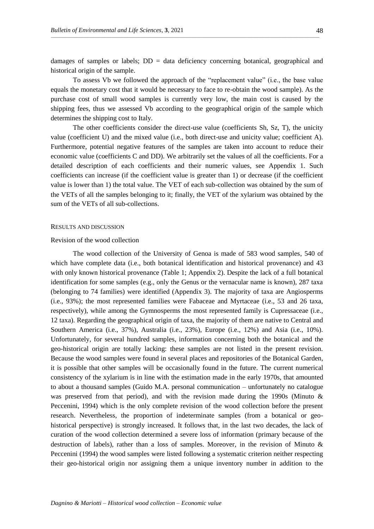damages of samples or labels;  $DD = data$  deficiency concerning botanical, geographical and historical origin of the sample.

 $-$ 

To assess Vb we followed the approach of the "replacement value" (i.e., the base value equals the monetary cost that it would be necessary to face to re-obtain the wood sample). As the purchase cost of small wood samples is currently very low, the main cost is caused by the shipping fees, thus we assessed Vb according to the geographical origin of the sample which determines the shipping cost to Italy.

The other coefficients consider the direct-use value (coefficients Sh, Sz, T), the unicity value (coefficient U) and the mixed value (i.e., both direct-use and unicity value; coefficient A). Furthermore, potential negative features of the samples are taken into account to reduce their economic value (coefficients C and DD). We arbitrarily set the values of all the coefficients. For a detailed description of each coefficients and their numeric values, see Appendix 1. Such coefficients can increase (if the coefficient value is greater than 1) or decrease (if the coefficient value is lower than 1) the total value. The VET of each sub-collection was obtained by the sum of the VETs of all the samples belonging to it; finally, the VET of the xylarium was obtained by the sum of the VETs of all sub-collections.

## RESULTS AND DISCUSSION

## Revision of the wood collection

The wood collection of the University of Genoa is made of 583 wood samples, 540 of which have complete data (i.e., both botanical identification and historical provenance) and 43 with only known historical provenance (Table 1; Appendix 2). Despite the lack of a full botanical identification for some samples (e.g., only the Genus or the vernacular name is known), 287 taxa (belonging to 74 families) were identified (Appendix 3). The majority of taxa are Angiosperms (i.e., 93%); the most represented families were Fabaceae and Myrtaceae (i.e., 53 and 26 taxa, respectively), while among the Gymnosperms the most represented family is Cupressaceae (i.e., 12 taxa). Regarding the geographical origin of taxa, the majority of them are native to Central and Southern America (i.e., 37%), Australia (i.e., 23%), Europe (i.e., 12%) and Asia (i.e., 10%). Unfortunately, for several hundred samples, information concerning both the botanical and the geo-historical origin are totally lacking: these samples are not listed in the present revision. Because the wood samples were found in several places and repositories of the Botanical Garden, it is possible that other samples will be occasionally found in the future. The current numerical consistency of the xylarium is in line with the estimation made in the early 1970s, that amounted to about a thousand samples (Guido M.A. personal communication – unfortunately no catalogue was preserved from that period), and with the revision made during the 1990s (Minuto  $\&$ Peccenini, 1994) which is the only complete revision of the wood collection before the present research. Nevertheless, the proportion of indeterminate samples (from a botanical or geohistorical perspective) is strongly increased. It follows that, in the last two decades, the lack of curation of the wood collection determined a severe loss of information (primary because of the destruction of labels), rather than a loss of samples. Moreover, in the revision of Minuto  $\&$ Peccenini (1994) the wood samples were listed following a systematic criterion neither respecting their geo-historical origin nor assigning them a unique inventory number in addition to the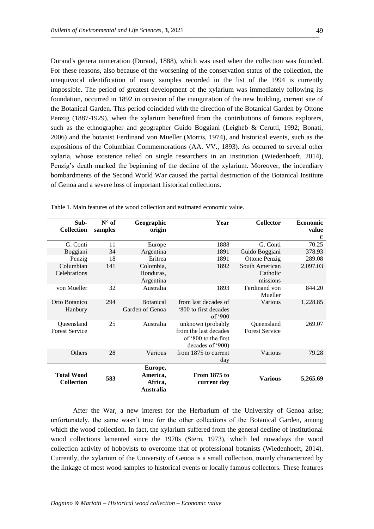Durand's genera numeration (Durand, 1888), which was used when the collection was founded. For these reasons, also because of the worsening of the conservation status of the collection, the unequivocal identification of many samples recorded in the list of the 1994 is currently impossible. The period of greatest development of the xylarium was immediately following its foundation, occurred in 1892 in occasion of the inauguration of the new building, current site of the Botanical Garden. This period coincided with the direction of the Botanical Garden by Ottone Penzig (1887-1929), when the xylarium benefited from the contributions of famous explorers, such as the ethnographer and geographer Guido Boggiani (Leigheb & Cerutti, 1992; Bonati, 2006) and the botanist Ferdinand von Mueller (Morris, 1974), and historical events, such as the expositions of the Columbian Commemorations (AA. VV., 1893). As occurred to several other xylaria, whose existence relied on single researchers in an institution (Wiedenhoeft, 2014), Penzig's death marked the beginning of the decline of the xylarium. Moreover, the incendiary bombardments of the Second World War caused the partial destruction of the Botanical Institute of Genoa and a severe loss of important historical collections.

 $-$ 

| Sub-<br><b>Collection</b>              | $N^{\circ}$ of<br>samples | Geographic<br>origin                               | Year                                                                                   | <b>Collector</b>                       | <b>Economic</b><br>value<br>€ |
|----------------------------------------|---------------------------|----------------------------------------------------|----------------------------------------------------------------------------------------|----------------------------------------|-------------------------------|
| G. Conti                               | 11                        | Europe                                             | 1888                                                                                   | G. Conti                               | 70.25                         |
| Boggiani                               | 34                        | Argentina                                          | 1891                                                                                   | Guido Boggiani                         | 378.93                        |
| Penzig                                 | 18                        | Eritrea                                            | 1891                                                                                   | Ottone Penzig                          | 289.08                        |
| Columbian<br>Celebrations              | 141                       | Colombia,<br>Honduras,<br>Argentina                | 1892                                                                                   | South American<br>Catholic<br>missions | 2,097.03                      |
| von Mueller                            | 32                        | Australia                                          | 1893                                                                                   | Ferdinand von<br>Mueller               | 844.20                        |
| Orto Botanico<br>Hanbury               | 294                       | <b>Botanical</b><br>Garden of Genoa                | from last decades of<br>'800 to first decades<br>of '900                               | Various                                | 1,228.85                      |
| Queensland<br><b>Forest Service</b>    | 25                        | Australia                                          | unknown (probably<br>from the last decades<br>of '800 to the first<br>decades of '900) | Queensland<br><b>Forest Service</b>    | 269.07                        |
| Others                                 | 28                        | Various                                            | from 1875 to current<br>day                                                            | Various                                | 79.28                         |
| <b>Total Wood</b><br><b>Collection</b> | 583                       | Europe,<br>America,<br>Africa,<br><b>Australia</b> | <b>From 1875 to</b><br>current day                                                     | <b>Various</b>                         | 5,265.69                      |

Table 1. Main features of the wood collection and estimated economic value.

After the War, a new interest for the Herbarium of the University of Genoa arise; unfortunately, the same wasn't true for the other collections of the Botanical Garden, among which the wood collection. In fact, the xylarium suffered from the general decline of institutional wood collections lamented since the 1970s (Stern, 1973), which led nowadays the wood collection activity of hobbyists to overcome that of professional botanists (Wiedenhoeft, 2014). Currently, the xylarium of the University of Genoa is a small collection, mainly characterized by the linkage of most wood samples to historical events or locally famous collectors. These features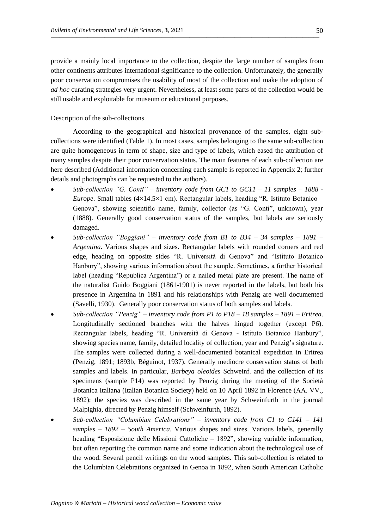provide a mainly local importance to the collection, despite the large number of samples from other continents attributes international significance to the collection. Unfortunately, the generally poor conservation compromises the usability of most of the collection and make the adoption of *ad hoc* curating strategies very urgent. Nevertheless, at least some parts of the collection would be still usable and exploitable for museum or educational purposes.

 $-$ 

## Description of the sub-collections

According to the geographical and historical provenance of the samples, eight subcollections were identified (Table 1). In most cases, samples belonging to the same sub-collection are quite homogeneous in term of shape, size and type of labels, which eased the attribution of many samples despite their poor conservation status. The main features of each sub-collection are here described (Additional information concerning each sample is reported in Appendix 2; further details and photographs can be requested to the authors).

- *Sub-collection "G. Conti" – inventory code from GC1 to GC11 – 11 samples – 1888 - Europe*. Small tables (4×14.5×1 cm). Rectangular labels, heading "R. Istituto Botanico – Genova", showing scientific name, family, collector (as "G. Conti", unknown), year (1888). Generally good conservation status of the samples, but labels are seriously damaged.
- *Sub-collection "Boggiani" – inventory code from B1 to B34 – 34 samples – 1891 – Argentina*. Various shapes and sizes. Rectangular labels with rounded corners and red edge, heading on opposite sides "R. Università di Genova" and "Istituto Botanico Hanbury", showing various information about the sample. Sometimes, a further historical label (heading "Republica Argentina") or a nailed metal plate are present. The name of the naturalist Guido Boggiani (1861-1901) is never reported in the labels, but both his presence in Argentina in 1891 and his relationships with Penzig are well documented (Savelli, 1930). Generally poor conservation status of both samples and labels.
- *Sub-collection "Penzig" – inventory code from P1 to P18 – 18 samples – 1891 – Eritrea*. Longitudinally sectioned branches with the halves hinged together (except P6). Rectangular labels, heading "R. Università di Genova - Istituto Botanico Hanbury", showing species name, family, detailed locality of collection, year and Penzig's signature. The samples were collected during a well-documented botanical expedition in Eritrea (Penzig, 1891; 1893b, Béguinot, 1937). Generally mediocre conservation status of both samples and labels. In particular, *Barbeya oleoides* Schweinf. and the collection of its specimens (sample P14) was reported by Penzig during the meeting of the Società Botanica Italiana (Italian Botanica Society) held on 10 April 1892 in Florence (AA. VV., 1892); the species was described in the same year by Schweinfurth in the journal Malpighia, directed by Penzig himself (Schweinfurth, 1892).
- *Sub-collection "Columbian Celebrations" – inventory code from C1 to C141 – 141 samples – 1892 – South America*. Various shapes and sizes. Various labels, generally heading "Esposizione delle Missioni Cattoliche – 1892", showing variable information, but often reporting the common name and some indication about the technological use of the wood. Several pencil writings on the wood samples. This sub-collection is related to the Columbian Celebrations organized in Genoa in 1892, when South American Catholic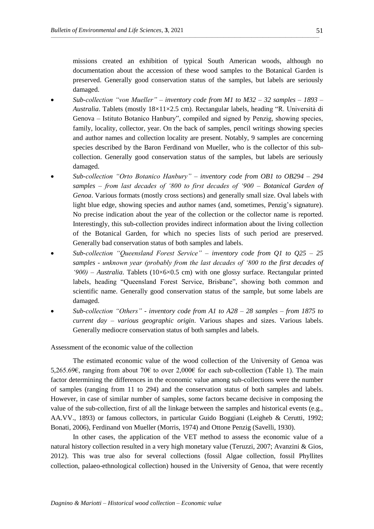missions created an exhibition of typical South American woods, although no documentation about the accession of these wood samples to the Botanical Garden is preserved. Generally good conservation status of the samples, but labels are seriously damaged.

 $-$ 

- *Sub-collection "von Mueller" – inventory code from M1 to M32 – 32 samples – 1893 – Australia*. Tablets (mostly 18×11×2.5 cm). Rectangular labels, heading "R. Università di Genova – Istituto Botanico Hanbury", compiled and signed by Penzig, showing species, family, locality, collector, year. On the back of samples, pencil writings showing species and author names and collection locality are present. Notably, 9 samples are concerning species described by the Baron Ferdinand von Mueller, who is the collector of this subcollection. Generally good conservation status of the samples, but labels are seriously damaged.
- *Sub-collection "Orto Botanico Hanbury" – inventory code from OB1 to OB294 – 294 samples – from last decades of '800 to first decades of '900 – Botanical Garden of Genoa*. Various formats (mostly cross sections) and generally small size. Oval labels with light blue edge, showing species and author names (and, sometimes, Penzig's signature). No precise indication about the year of the collection or the collector name is reported. Interestingly, this sub-collection provides indirect information about the living collection of the Botanical Garden, for which no species lists of such period are preserved. Generally bad conservation status of both samples and labels.
- *Sub-collection "Queensland Forest Service" – inventory code from Q1 to Q25 – 25 samples - unknown year (probably from the last decades of '800 to the first decades of '900) – Australia*. Tablets (10×6×0.5 cm) with one glossy surface. Rectangular printed labels, heading "Queensland Forest Service, Brisbane", showing both common and scientific name. Generally good conservation status of the sample, but some labels are damaged.
- *Sub-collection "Others" - inventory code from A1 to A28 – 28 samples – from 1875 to current day – various geographic origin*. Various shapes and sizes. Various labels. Generally mediocre conservation status of both samples and labels.

## Assessment of the economic value of the collection

The estimated economic value of the wood collection of the University of Genoa was 5,265.69€, ranging from about 70€ to over 2,000€ for each sub-collection (Table 1). The main factor determining the differences in the economic value among sub-collections were the number of samples (ranging from 11 to 294) and the conservation status of both samples and labels. However, in case of similar number of samples, some factors became decisive in composing the value of the sub-collection, first of all the linkage between the samples and historical events (e.g., AA.VV., 1893) or famous collectors, in particular Guido Boggiani (Leigheb & Cerutti, 1992; Bonati, 2006), Ferdinand von Mueller (Morris, 1974) and Ottone Penzig (Savelli, 1930).

In other cases, the application of the VET method to assess the economic value of a natural history collection resulted in a very high monetary value (Teruzzi, 2007; Avanzini & Gios, 2012). This was true also for several collections (fossil Algae collection, fossil Phyllites collection, palaeo-ethnological collection) housed in the University of Genoa, that were recently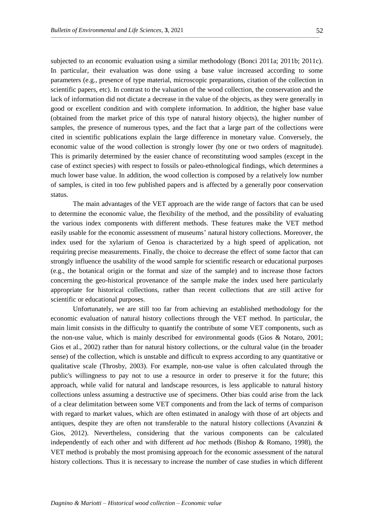subjected to an economic evaluation using a similar methodology (Bonci 2011a; 2011b; 2011c). In particular, their evaluation was done using a base value increased according to some parameters (e.g., presence of type material, microscopic preparations, citation of the collection in scientific papers, etc). In contrast to the valuation of the wood collection, the conservation and the lack of information did not dictate a decrease in the value of the objects, as they were generally in good or excellent condition and with complete information. In addition, the higher base value (obtained from the market price of this type of natural history objects), the higher number of samples, the presence of numerous types, and the fact that a large part of the collections were cited in scientific publications explain the large difference in monetary value. Conversely, the economic value of the wood collection is strongly lower (by one or two orders of magnitude). This is primarily determined by the easier chance of reconstituting wood samples (except in the case of extinct species) with respect to fossils or paleo-ethnological findings, which determines a much lower base value. In addition, the wood collection is composed by a relatively low number of samples, is cited in too few published papers and is affected by a generally poor conservation status.

 $-$ 

The main advantages of the VET approach are the wide range of factors that can be used to determine the economic value, the flexibility of the method, and the possibility of evaluating the various index components with different methods. These features make the VET method easily usable for the economic assessment of museums' natural history collections. Moreover, the index used for the xylarium of Genoa is characterized by a high speed of application, not requiring precise measurements. Finally, the choice to decrease the effect of some factor that can strongly influence the usability of the wood sample for scientific research or educational purposes (e.g., the botanical origin or the format and size of the sample) and to increase those factors concerning the geo-historical provenance of the sample make the index used here particularly appropriate for historical collections, rather than recent collections that are still active for scientific or educational purposes.

Unfortunately, we are still too far from achieving an established methodology for the economic evaluation of natural history collections through the VET method. In particular, the main limit consists in the difficulty to quantify the contribute of some VET components, such as the non-use value, which is mainly described for environmental goods (Gios & Notaro, 2001; Gios et al., 2002) rather than for natural history collections, or the cultural value (in the broader sense) of the collection, which is unstable and difficult to express according to any quantitative or qualitative scale (Throsby, 2003). For example, non-use value is often calculated through the public's willingness to pay not to use a resource in order to preserve it for the future; this approach, while valid for natural and landscape resources, is less applicable to natural history collections unless assuming a destructive use of specimens. Other bias could arise from the lack of a clear delimitation between some VET components and from the lack of terms of comparison with regard to market values, which are often estimated in analogy with those of art objects and antiques, despite they are often not transferable to the natural history collections (Avanzini  $\&$ Gios, 2012). Nevertheless, considering that the various components can be calculated independently of each other and with different *ad hoc* methods (Bishop & Romano, 1998), the VET method is probably the most promising approach for the economic assessment of the natural history collections. Thus it is necessary to increase the number of case studies in which different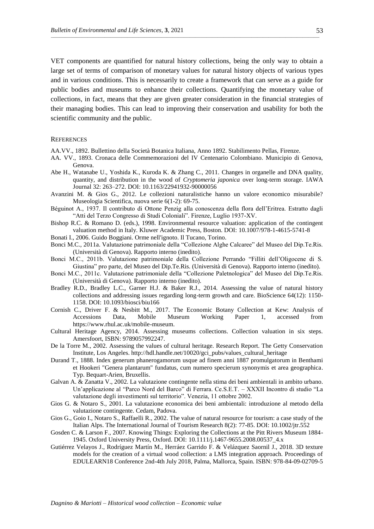VET components are quantified for natural history collections, being the only way to obtain a large set of terms of comparison of monetary values for natural history objects of various types and in various conditions. This is necessarily to create a framework that can serve as a guide for public bodies and museums to enhance their collections. Quantifying the monetary value of collections, in fact, means that they are given greater consideration in the financial strategies of their managing bodies. This can lead to improving their conservation and usability for both the scientific community and the public.

 $-$ 

### **REFERENCES**

- AA.VV., 1892. Bullettino della Società Botanica Italiana, Anno 1892. Stabilimento Pellas, Firenze.
- AA. VV., 1893. Cronaca delle Commemorazioni del IV Centenario Colombiano. Municipio di Genova, Genova.
- Abe H., Watanabe U., Yoshida K., Kuroda K. & Zhang C., 2011. Changes in organelle and DNA quality, quantity, and distribution in the wood of *Cryptomeria japonica* over long-term storage. IAWA Journal 32: 263–272. DOI: 10.1163/22941932-90000056
- Avanzini M. & Gios G., 2012. Le collezioni naturalistiche hanno un valore economico misurabile? Museologia Scientifica, nuova serie 6(1-2): 69-75.
- Béguinot A., 1937. Il contributo di Ottone Penzig alla conoscenza della flora dell'Eritrea. Estratto dagli "Atti del Terzo Congresso di Studi Coloniali". Firenze, Luglio 1937-XV.
- Bishop R.C. & Romano D. (eds.), 1998. Environmental resource valuation: application of the contingent valuation method in Italy. Kluwer Academic Press, Boston. DOI: 10.1007/978-1-4615-5741-8
- Bonati I., 2006. Guido Boggiani. Orme nell'ignoto. Il Tucano, Torino.
- Bonci M.C., 2011a. Valutazione patrimoniale della "Collezione Alghe Calcaree" del Museo del Dip.Te.Ris. (Università di Genova). Rapporto interno (inedito).
- Bonci M.C., 2011b. Valutazione patrimoniale della Collezione Perrando "Filliti dell'Oligocene di S. Giustina" pro parte, del Museo del Dip.Te.Ris. (Università di Genova). Rapporto interno (inedito).
- Bonci M.C., 2011c. Valutazione patrimoniale della "Collezione Paletnologica" del Museo del Dip.Te.Ris. (Università di Genova). Rapporto interno (inedito).
- Bradley R.D., Bradley L.C., Garner H.J. & Baker R.J., 2014. Assessing the value of natural history collections and addressing issues regarding long-term growth and care. BioScience 64(12): 1150- 1158. DOI: 10.1093/biosci/biu166
- Cornish C., Driver F. & Nesbitt M., 2017. The Economic Botany Collection at Kew: Analysis of Accessions Data, Mobile Museum Working Paper 1, accessed from https://www.rhul.ac.uk/mobile-museum.
- Cultural Heritage Agency, 2014. Assessing museums collections. Collection valuation in six steps. Amersfoort, ISBN: 9789057992247.
- De la Torre M., 2002. Assessing the values of cultural heritage. Research Report. The Getty Conservation Institute, Los Angeles. http://hdl.handle.net/10020/gci\_pubs/values\_cultural\_heritage
- Durand T., 1888. Index generum phanerogamorum usque ad finem anni 1887 promulgatorum in Benthami et Hookeri "Genera plantarum" fundatus, cum numero specierum synonymis et area geographica. Typ. Bequart-Arien, Bruxellis.
- Galvan A. & Zanatta V., 2002. La valutazione contingente nella stima dei beni ambientali in ambito urbano. Un'applicazione al "Parco Nord del Barco" di Ferrara. Ce.S.E.T. – XXXII Incontro di studio "La valutazione degli investimenti sul territorio". Venezia, 11 ottobre 2002.
- Gios G. & Notaro S., 2001. La valutazione economica dei beni ambientali: introduzione al metodo della valutazione contingente. Cedam, Padova.
- Gios G., Goio I., Notaro S., Raffaelli R., 2002. The value of natural resource for tourism: a case study of the Italian Alps. The International Journal of Tourism Research 8(2): 77-85. DOI: 10.1002/jtr.552
- Gosden C. & Larson F., 2007. Knowing Things: Exploring the Collections at the Pitt Rivers Museum 1884- 1945. Oxford University Press, Oxford. DOI: 10.1111/j.1467-9655.2008.00537\_4.x
- Gutiérrez Velayos J., Rodríguez Martín M., Herráez Garrido F. & Velázquez Saornil J., 2018. 3D texture models for the creation of a virtual wood collection: a LMS integration approach. Proceedings of EDULEARN18 Conference 2nd-4th July 2018, Palma, Mallorca, Spain. ISBN: 978-84-09-02709-5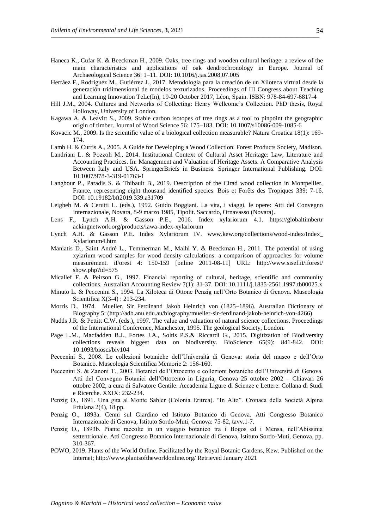Haneca K., Cufar K. & Beeckman H., 2009. Oaks, tree-rings and wooden cultural heritage: a review of the main characteristics and applications of oak dendrochronology in Europe. Journal of Archaeological Science 36: 1–11. DOI: 10.1016/j.jas.2008.07.005

 $-$ 

- Herráez F., Rodríguez M., Gutiérrez J., 2017. Metodología para la creación de un Xiloteca virtual desde la generación tridimensional de modelos texturizados. Proceedings of III Congress about Teaching and Learning Innovation TeLe(In), 19-20 October 2017, Léon, Spain. ISBN: 978-84-697-6817-4
- Hill J.M., 2004. Cultures and Networks of Collecting: Henry Wellcome's Collection. PhD thesis, Royal Holloway, University of London.
- Kagawa A. & Leavitt S., 2009. Stable carbon isotopes of tree rings as a tool to pinpoint the geographic origin of timber. Journal of Wood Science 56: 175–183. DOI: 10.1007/s10086-009-1085-6
- Kovacic M., 2009. Is the scientific value of a biological collection measurable? Natura Croatica 18(1): 169- 174.
- Lamb H. & Curtis A., 2005. A Guide for Developing a Wood Collection. Forest Products Society, Madison.
- Landriani L. & Pozzoli M., 2014. Institutional Context of Cultural Asset Heritage: Law, Literature and Accounting Practices. In: Management and Valuation of Heritage Assets. A Comparative Analysis Between Italy and USA. SpringerBriefs in Business. Springer International Publishing. DOI: 10.1007/978-3-319-01763-1
- Langbour P., Paradis S. & Thibault B., 2019. Description of the Cirad wood collection in Montpellier, France, representing eight thousand identified species. Bois et Forêts des Tropiques 339: 7-16. DOI: 10.19182/bft2019.339.a31709
- Leigheb M. & Cerutti L. (eds.), 1992. Guido Boggiani. La vita, i viaggi, le opere: Atti del Convegno Internazionale, Novara, 8-9 marzo 1985, Tipolit. Saccardo, Ornavasso (Novara).
- Lens F., Lynch A.H. & Gasson P.E., 2016. Index xylariorum 4.1. https://globaltimbertr ackingnetwork.org/products/iawa-index-xylariorum
- Lynch A.H. & Gasson P.E. Index Xylariorum IV. www.kew.org/collections/wood-index/Index\_ Xylariorum4.htm
- Maniatis D., Saint André L., Temmerman M., Malhi Y. & Beeckman H., 2011. The potential of using xylarium wood samples for wood density calculations: a comparison of approaches for volume measurement. iForest 4: 150-159 [online 2011-08-11] URL: http://www.sisef.it/iforest/ show.php?id=575
- Micallef F. & Peirson G., 1997. Financial reporting of cultural, heritage, scientific and community collections. Australian Accounting Review 7(1): 31-37. DOI: 10.1111/j.1835-2561.1997.tb00025.x
- Minuto L. & Peccenini S., 1994. La Xiloteca di Ottone Penzig nell'Orto Botanico di Genova. Museologia Scientifica X(3-4) : 213-234.
- Morris D., 1974. Mueller, Sir Ferdinand Jakob Heinrich von (1825–1896). Australian Dictionary of Biography 5: (http://adb.anu.edu.au/biography/mueller-sir-ferdinand-jakob-heinrich-von-4266)
- Nudds J.R. & Pettitt C.W. (eds.), 1997. The value and valuation of natural science collections. Proceedings of the International Conference, Manchester, 1995. The geological Society, London.
- Page L.M., Macfadden B.J., Fortes J.A., Soltis P.S.& Riccardi G., 2015. Digitization of Biodiversity collections reveals biggest data on biodiversity. BioScience 65(9): 841-842. DOI: 10.1093/biosci/biv104
- Peccenini S., 2008. Le collezioni botaniche dell'Università di Genova: storia del museo e dell'Orto Botanico. Museologia Scientifica Memorie 2: 156-160.
- Peccenini S. & Zanoni T., 2003. Botanici dell'Ottocento e collezioni botaniche dell'Università di Genova. Atti del Convegno Botanici dell'Ottocento in Liguria, Genova 25 ottobre 2002 – Chiavari 26 ottobre 2002, a cura di Salvatore Gentile. Accademia Ligure di Scienze e Lettere. Collana di Studi e Ricerche. XXIX: 232-234.
- Penzig O., 1891. Una gita al Monte Sabler (Colonia Eritrea). "In Alto". Cronaca della Società Alpina Friulana 2(4), 18 pp.
- Penzig O., 1893a. Cenni sul Giardino ed Istituto Botanico di Genova. Atti Congresso Botanico Internazionale di Genova, Istituto Sordo-Muti, Genova: 75-82, tavv.1-7.
- Penzig O., 1893b. Piante raccolte in un viaggio botanico tra i Bogos ed i Mensa, nell'Abissinia settentrionale. Atti Congresso Botanico Internazionale di Genova, Istituto Sordo-Muti, Genova, pp. 310-367.
- POWO, 2019. Plants of the World Online. Facilitated by the Royal Botanic Gardens, Kew. Published on the Internet; http://www.plantsoftheworldonline.org/ Retrieved January 2021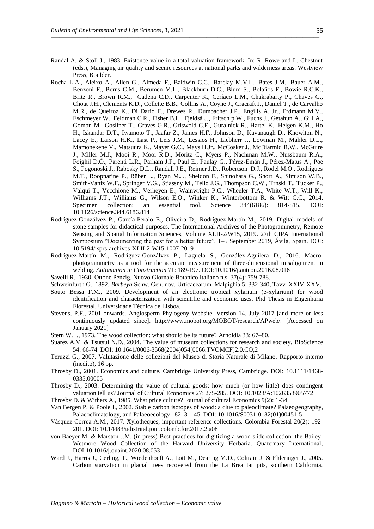- 55
- Randal A. & Stoll J., 1983. Existence value in a total valuation framework. In: R. Rowe and L. Chestnut (eds.), Managing air quality and scenic resources at national parks and wilderness areas. Westview Press, Boulder.

 $-$ 

- Rocha L.A., Aleixo A., Allen G., Almeda F., Baldwin C.C., Barclay M.V.L., Bates J.M., Bauer A.M., Benzoni F., Berns C.M., Berumen M.L., Blackburn D.C., Blum S., Bolaños F., Bowie R.C.K., Britz R., Brown R.M., Cadena C.D., Carpenter K., Ceríaco L.M., Chakrabarty P., Chaves G., Choat J.H., Clements K.D., Collette B.B., Collins A., Coyne J., Cracraft J., Daniel T., de Carvalho M.R., de Queiroz K., Di Dario F., Drewes R., Dumbacher J.P., Engilis A. Jr., Erdmann M.V., Eschmeyer W., Feldman C.R., Fisher B.L., Fjeldså J., Fritsch p.W., Fuchs J., Getahun A., Gill A., Gomon M., Gosliner T., Graves G.R., Griswold C.E., Guralnick R., Hartel K., Helgen K.M., Ho H., Iskandar D.T., Iwamoto T., Jaafar Z., James H.F., Johnson D., Kavanaugh D., Knowlton N., Lacey E., Larson H.K., Last P., Leis J.M., Lessios H., Liebherr J., Lowman M., Mahler D.L., Mamonekene V., Matsuura K., Mayer G.C., Mays H.Jr., McCosker J., McDiarmid R.W., McGuire J., Miller M.J., Mooi R., Mooi R.D., Moritz C., Myers P., Nachman M.W., Nussbaum R.A., Foighil D.Ó., Parenti L.R., Parham J.F., Paul E., Paulay G., Pérez-Emán J., Pérez-Matus A., Poe S., Pogonoski J., Rabosky D.L., Randall J.E., Reimer J.D., Robertson D.J., Rödel M.O., Rodrigues M.T., Roopnarine P., Rüber L., Ryan M.J., Sheldon F., Shinohara G., Short A., Simison W.B., Smith-Vaniz W.F., Springer V.G., Stiassny M., Tello J.G., Thompson C.W., Trnski T., Tucker P., Valqui T., Vecchione M., Verheyen E., Wainwright P.C., Wheeler T.A., White W.T., Will K., Williams J.T., Williams G., Wilson E.O., Winker K., Winterbottom R. & Witt C.C., 2014. Specimen collection: an essential tool. Science 344(6186): 814-815. DOI: 10.1126/science.344.6186.814
- Rodríguez-Gonzálvez P., García-Peralo E., Oliveira D., Rodríguez-Martín M., 2019. Digital models of stone samples for didactical purposes. The International Archives of the Photogrammetry, Remote Sensing and Spatial Information Sciences, Volume XLII-2/W15, 2019. 27th CIPA International Symposium "Documenting the past for a better future", 1–5 September 2019, Ávila, Spain. DOI: 10.5194/isprs-archives-XLII-2-W15-1007-2019
- Rodríguez-Martín M., Rodríguez-Gonzálvez P., Lagüela S., González-Aguilera D., 2016. Macrophotogrammetry as a tool for the accurate measurement of three-dimensional misalignment in welding. *Automation in Construction* 71: 189-197. DOI:10.1016/j.autcon.2016.08.016
- Savelli R., 1930. Ottone Penzig. Nuovo Giornale Botanico Italiano n.s. 37(4): 759-788.
- Schweinfurth G., 1892. *Barbeya* Schw. Gen. nov. Urticacearum. Malpighia 5: 332-340, Tavv. XXIV-XXV.
- Souto Bessa F.M., 2009. Development of an electronic tropical xylarium (e-xylarium) for wood identification and characterization with scientific and economic uses. Phd Thesis in Engenharia Florestal, Universidade Técnica de Lisboa.
- Stevens, P.F., 2001 onwards. Angiosperm Phylogeny Website. Version 14, July 2017 [and more or less continuously updated since]. http://www.mobot.org/MOBOT/research/APweb/. [Accessed on January 2021]
- Stern W.L., 1973. The wood collection: what should be its future? Arnoldia 33: 67–80.
- Suarez A.V. & Tsutsui N.D., 2004. The value of museum collections for research and society. BioScience 54: 66-74. DOI: 10.1641/0006-3568(2004)054[0066:TVOMCF]2.0.CO;2
- Teruzzi G., 2007. Valutazione delle collezioni del Museo di Storia Naturale di Milano. Rapporto interno (inedito), 16 pp.
- Throsby D., 2001. Economics and culture. Cambridge University Press, Cambridge. DOI: 10.1111/1468- 0335.00005
- Throsby D., 2003. Determining the value of cultural goods: how much (or how little) does contingent valuation tell us? Journal of Cultural Economics 27: 275-285. DOI: 10.1023/A:1026353905772
- Throsby D. & Withers A., 1985. What price culture? Journal of cultural Economics 9(2): 1-34.
- Van Bergen P. & Poole I., 2002. Stable carbon isotopes of wood: a clue to paleoclimate? Palaeogeography, Palaeoclimatology, and Palaeoecology 182: 31–45. DOI: 10.1016/S0031-0182(01)00451-5
- Vàsquez-Correa A.M., 2017. Xylotheques, important reference collections. Colombia Forestal 20(2): 192- 201. DOI: 10.14483/udistrital.jour.colomb.for.2017.2.a08
- von Baeyer M. & Marston J.M. (in press) Best practices for digitizing a wood slide collection: the Bailey-Wetmore Wood Collection of the Harvard University Herbaria. Quaternary International, DOI:10.1016/j.quaint.2020.08.053
- Ward J., Harris J., Cerling, T., Wiedenhoeft A., Lott M., Dearing M.D., Coltrain J. & Ehleringer J., 2005. Carbon starvation in glacial trees recovered from the La Brea tar pits, southern California.